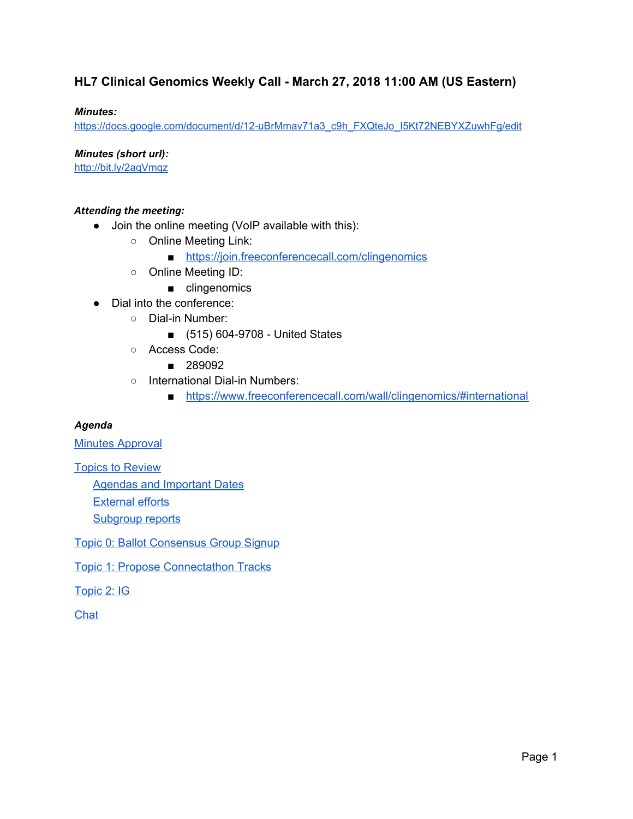### **HL7 Clinical Genomics Weekly Call - March 27, 2018 11:00 AM (US Eastern)**

### *Minutes:*

[https://docs.google.com/document/d/12-uBrMmav71a3\\_c9h\\_FXQteJo\\_I5Kt72NEBYXZuwhFg/edit](https://docs.google.com/document/d/12-uBrMmav71a3_c9h_FXQteJo_I5Kt72NEBYXZuwhFg/edit)

*Minutes (short url):*

<http://bit.ly/2aqVmqz>

### *Attending the meeting:*

- Join the online meeting (VoIP available with this):
	- Online Meeting Link:
		- <https://join.freeconferencecall.com/clingenomics>
	- Online Meeting ID:
		- clingenomics
- Dial into the conference:
	- Dial-in Number:
		- (515) 604-9708 United States
	- Access Code:
		- 289092
	- International Dial-in Numbers:
		- <https://www.freeconferencecall.com/wall/clingenomics/#international>

#### *Agenda*

**Minutes [Approval](#page-2-0)** 

Topics to [Review](#page-2-1)

Agendas and [Important](#page-2-2) Dates

[External](#page-4-0) efforts

[Subgroup](#page-4-1) reports

Topic 0: Ballot [Consensus](#page-4-2) Group Signup

Topic 1: Propose [Connectathon](#page-5-0) Tracks

[Topic](#page-6-0) 2: IG

**[Chat](#page-7-0)**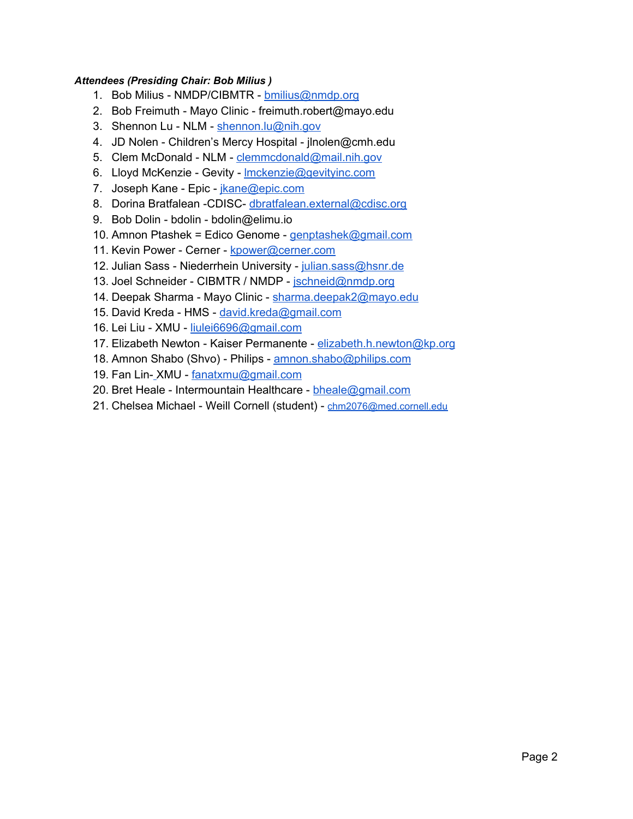### *Attendees (Presiding Chair: Bob Milius )*

- 1. Bob Milius NMDP/CIBMTR [bmilius@nmdp.org](mailto:bmilius@nmdp.org)
- 2. Bob Freimuth Mayo Clinic freimuth.robert@mayo.edu
- 3. Shennon Lu NLM [shennon.lu@nih.gov](mailto:shennon.lu@nih.gov)
- 4. JD Nolen Children's Mercy Hospital jlnolen@cmh.edu
- 5. Clem McDonald NLM [clemmcdonald@mail.nih.gov](mailto:clemmcdonald@mail.nih.gov)
- 6. Lloyd McKenzie Gevity Imckenzie@gevityinc.com
- 7. Joseph Kane Epic [jkane@epic.com](mailto:jkane@epic.com)
- 8. Dorina Bratfalean -CDISC- [dbratfalean.external@cdisc.org](mailto:dbratfalean.external@cdisc.org)
- 9. Bob Dolin bdolin bdolin@elimu.io
- 10. Amnon Ptashek = Edico Genome [genptashek@gmail.com](mailto:genptashek@gmail.com)
- 11. Kevin Power Cerner [kpower@cerner.com](mailto:kpower@cerner.com)
- 12. Julian Sass Niederrhein University [julian.sass@hsnr.de](mailto:julian.sass@hsnr.de)
- 13. Joel Schneider CIBMTR / NMDP [jschneid@nmdp.org](mailto:jschneid@nmdp.org)
- 14. Deepak Sharma Mayo Clinic [sharma.deepak2@mayo.edu](mailto:sharma.deepak2@mayo.edu)
- 15. David Kreda HMS [david.kreda@gmail.com](mailto:david.kreda@gmail.com)
- 16. Lei Liu XMU [liulei6696@gmail.com](mailto:liulei6696@gmail.com)
- 17. Elizabeth Newton Kaiser Permanente [elizabeth.h.newton@kp.org](mailto:elizabeth.h.newton@kp.org)
- 18. Amnon Shabo (Shvo) Philips [amnon.shabo@philips.com](mailto:amnon.shabo@philips.com)
- 19. Fan Lin- XMU [fanatxmu@gmail.com](mailto:fanatxmu@gmail.com)
- 20. Bret Heale Intermountain Healthcare [bheale@gmail.com](mailto:bheale@gmail.com)
- 21. Chelsea Michael Weill Cornell (student) [chm2076@med.cornell.edu](mailto:chm2076@med.cornell.edu)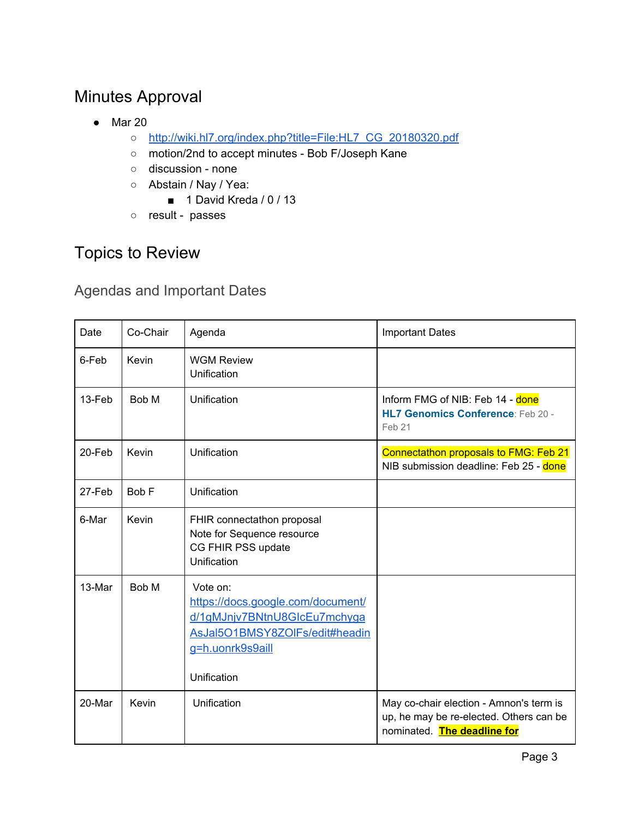# <span id="page-2-0"></span>Minutes Approval

- Mar 20
	- [http://wiki.hl7.org/index.php?title=File:HL7\\_CG\\_20180320.pdf](http://wiki.hl7.org/index.php?title=File:HL7_CG_20180320.pdf)
	- motion/2nd to accept minutes Bob F/Joseph Kane
	- discussion none
	- Abstain / Nay / Yea:
		- 1 David Kreda / 0 / 13
	- result passes

## <span id="page-2-1"></span>Topics to Review

## <span id="page-2-2"></span>Agendas and Important Dates

| Date   | Co-Chair | Agenda                                                                                                                                             | <b>Important Dates</b>                                                                                            |  |
|--------|----------|----------------------------------------------------------------------------------------------------------------------------------------------------|-------------------------------------------------------------------------------------------------------------------|--|
| 6-Feb  | Kevin    | <b>WGM Review</b><br>Unification                                                                                                                   |                                                                                                                   |  |
| 13-Feb | Bob M    | Unification                                                                                                                                        | Inform FMG of NIB: Feb 14 - done<br>HL7 Genomics Conference: Feb 20 -<br>Feb 21                                   |  |
| 20-Feb | Kevin    | Unification                                                                                                                                        | Connectathon proposals to FMG: Feb 21<br>NIB submission deadline: Feb 25 - done                                   |  |
| 27-Feb | Bob F    | Unification                                                                                                                                        |                                                                                                                   |  |
| 6-Mar  | Kevin    | FHIR connectathon proposal<br>Note for Sequence resource<br>CG FHIR PSS update<br>Unification                                                      |                                                                                                                   |  |
| 13-Mar | Bob M    | Vote on:<br>https://docs.google.com/document/<br>d/1gMJnjv7BNtnU8GlcEu7mchyga<br>AsJal5O1BMSY8ZOlFs/edit#headin<br>g=h.uonrk9s9aill<br>Unification |                                                                                                                   |  |
| 20-Mar | Kevin    | Unification                                                                                                                                        | May co-chair election - Amnon's term is<br>up, he may be re-elected. Others can be<br>nominated. The deadline for |  |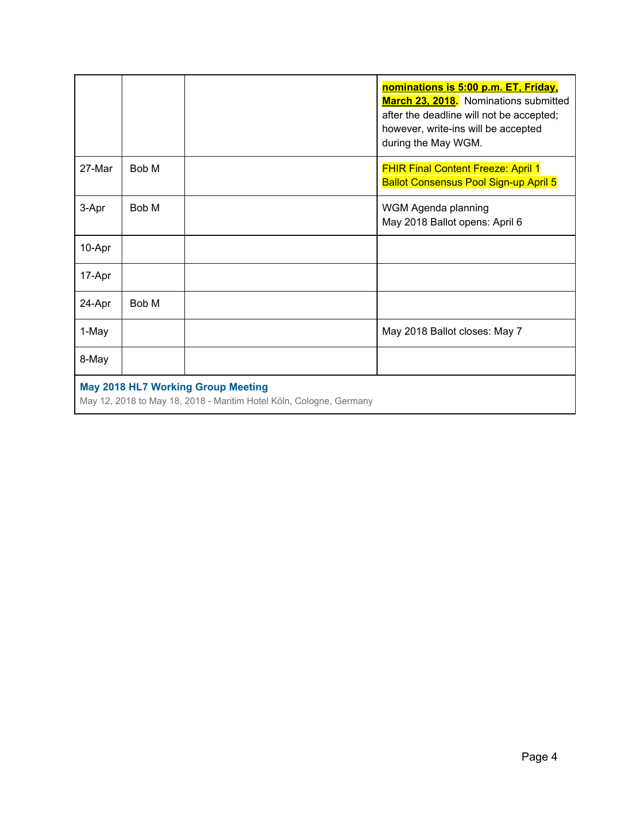|                                                                                                                  |       |  | nominations is 5:00 p.m. ET, Friday,<br>March 23, 2018. Nominations submitted<br>after the deadline will not be accepted;<br>however, write-ins will be accepted<br>during the May WGM. |  |  |
|------------------------------------------------------------------------------------------------------------------|-------|--|-----------------------------------------------------------------------------------------------------------------------------------------------------------------------------------------|--|--|
| 27-Mar                                                                                                           | Bob M |  | <b>FHIR Final Content Freeze: April 1</b><br><b>Ballot Consensus Pool Sign-up April 5</b>                                                                                               |  |  |
| 3-Apr                                                                                                            | Bob M |  | WGM Agenda planning<br>May 2018 Ballot opens: April 6                                                                                                                                   |  |  |
| 10-Apr                                                                                                           |       |  |                                                                                                                                                                                         |  |  |
| 17-Apr                                                                                                           |       |  |                                                                                                                                                                                         |  |  |
| 24-Apr                                                                                                           | Bob M |  |                                                                                                                                                                                         |  |  |
| 1-May                                                                                                            |       |  | May 2018 Ballot closes: May 7                                                                                                                                                           |  |  |
| 8-May                                                                                                            |       |  |                                                                                                                                                                                         |  |  |
| <b>May 2018 HL7 Working Group Meeting</b><br>May 12, 2018 to May 18, 2018 - Maritim Hotel Köln, Cologne, Germany |       |  |                                                                                                                                                                                         |  |  |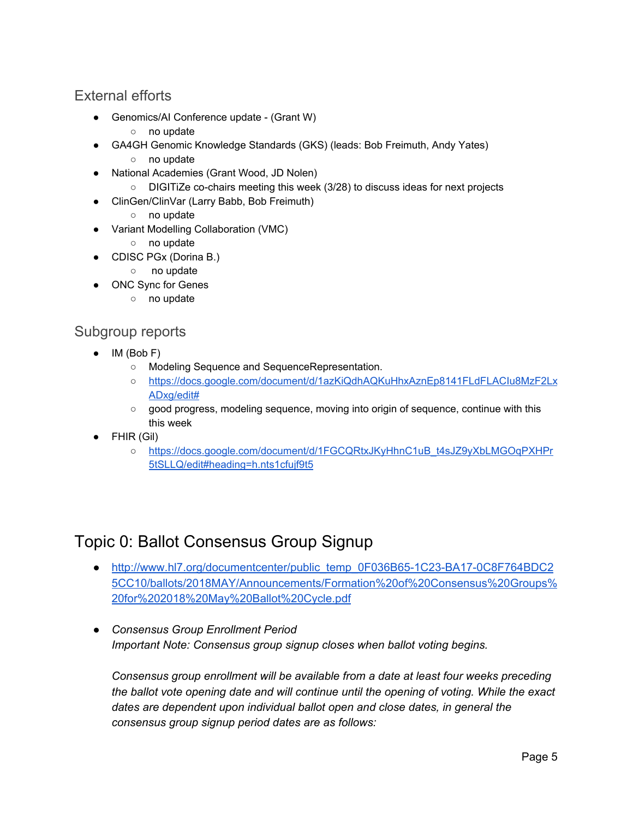## <span id="page-4-0"></span>External efforts

- Genomics/AI Conference update (Grant W)
	- no update
- GA4GH Genomic Knowledge Standards (GKS) (leads: Bob Freimuth, Andy Yates)
	- no update
- National Academies (Grant Wood, JD Nolen)
	- DIGITiZe co-chairs meeting this week (3/28) to discuss ideas for next projects
- ClinGen/ClinVar (Larry Babb, Bob Freimuth)
	- no update
- Variant Modelling Collaboration (VMC)
	- no update
- CDISC PGx (Dorina B.)
	- no update
- ONC Sync for Genes
	- no update

### <span id="page-4-1"></span>Subgroup reports

- IM (Bob F)
	- Modeling Sequence and SequenceRepresentation.
	- [https://docs.google.com/document/d/1azKiQdhAQKuHhxAznEp8141FLdFLACIu8MzF2Lx](https://docs.google.com/document/d/1azKiQdhAQKuHhxAznEp8141FLdFLACIu8MzF2LxADxg/edit#) [ADxg/edit#](https://docs.google.com/document/d/1azKiQdhAQKuHhxAznEp8141FLdFLACIu8MzF2LxADxg/edit#)
	- good progress, modeling sequence, moving into origin of sequence, continue with this this week
- FHIR (Gil)
	- [https://docs.google.com/document/d/1FGCQRtxJKyHhnC1uB\\_t4sJZ9yXbLMGOqPXHPr](https://docs.google.com/document/d/1FGCQRtxJKyHhnC1uB_t4sJZ9yXbLMGOqPXHPr5tSLLQ/edit#heading=h.nts1cfujf9t5) [5tSLLQ/edit#heading=h.nts1cfujf9t5](https://docs.google.com/document/d/1FGCQRtxJKyHhnC1uB_t4sJZ9yXbLMGOqPXHPr5tSLLQ/edit#heading=h.nts1cfujf9t5)

## <span id="page-4-2"></span>Topic 0: Ballot Consensus Group Signup

- [http://www.hl7.org/documentcenter/public\\_temp\\_0F036B65-1C23-BA17-0C8F764BDC2](http://www.hl7.org/documentcenter/public_temp_0F036B65-1C23-BA17-0C8F764BDC25CC10/ballots/2018MAY/Announcements/Formation%20of%20Consensus%20Groups%20for%202018%20May%20Ballot%20Cycle.pdf) [5CC10/ballots/2018MAY/Announcements/Formation%20of%20Consensus%20Groups%](http://www.hl7.org/documentcenter/public_temp_0F036B65-1C23-BA17-0C8F764BDC25CC10/ballots/2018MAY/Announcements/Formation%20of%20Consensus%20Groups%20for%202018%20May%20Ballot%20Cycle.pdf) [20for%202018%20May%20Ballot%20Cycle.pdf](http://www.hl7.org/documentcenter/public_temp_0F036B65-1C23-BA17-0C8F764BDC25CC10/ballots/2018MAY/Announcements/Formation%20of%20Consensus%20Groups%20for%202018%20May%20Ballot%20Cycle.pdf)
- *● Consensus Group Enrollment Period Important Note: Consensus group signup closes when ballot voting begins.*

*Consensus group enrollment will be available from a date at least four weeks preceding the ballot vote opening date and will continue until the opening of voting. While the exact dates are dependent upon individual ballot open and close dates, in general the consensus group signup period dates are as follows:*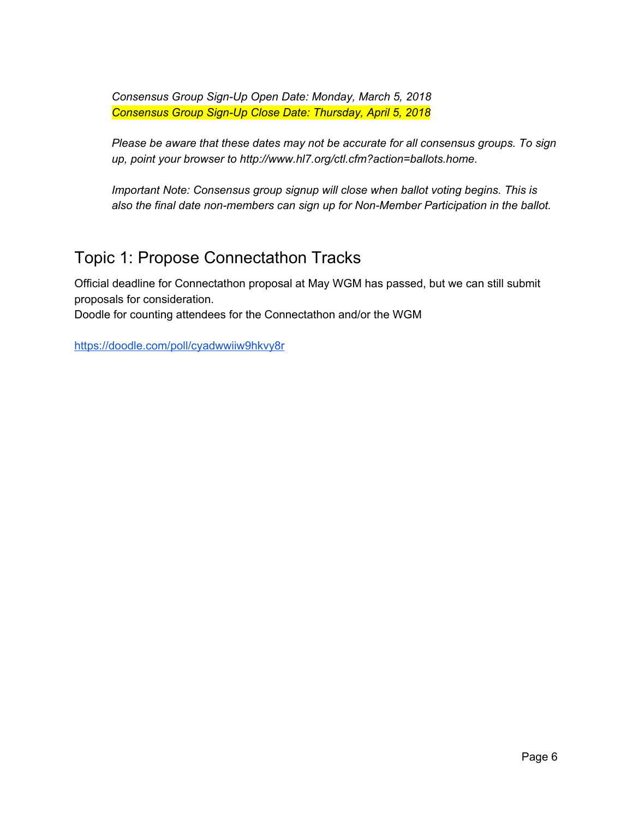*Consensus Group Sign-Up Open Date: Monday, March 5, 2018 Consensus Group Sign-Up Close Date: Thursday, April 5, 2018*

*Please be aware that these dates may not be accurate for all consensus groups. To sign up, point your browser to http://www.hl7.org/ctl.cfm?action=ballots.home.*

*Important Note: Consensus group signup will close when ballot voting begins. This is also the final date non-members can sign up for Non-Member Participation in the ballot.*

## <span id="page-5-0"></span>Topic 1: Propose Connectathon Tracks

Official deadline for Connectathon proposal at May WGM has passed, but we can still submit proposals for consideration.

Doodle for counting attendees for the Connectathon and/or the WGM

<https://doodle.com/poll/cyadwwiiw9hkvy8r>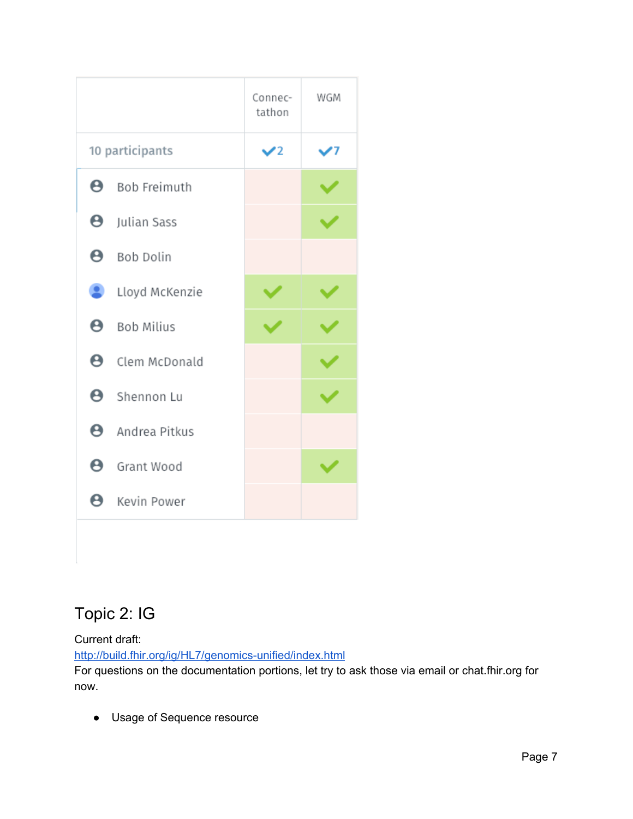|    |                        | Connec-<br>tathon | WGM |
|----|------------------------|-------------------|-----|
|    | 10 participants        | ✔2                | 17  |
|    | <b>B</b> Bob Freimuth  |                   |     |
|    | <b>8</b> Julian Sass   |                   |     |
|    | <b>8</b> Bob Dolin     |                   |     |
|    | Lloyd McKenzie         |                   |     |
|    | <b>B</b> Bob Milius    |                   |     |
|    | <b>e</b> Clem McDonald |                   |     |
|    | <b>8</b> Shennon Lu    |                   |     |
|    | $\Theta$ Andrea Pitkus |                   |     |
|    | <b>8</b> Grant Wood    |                   |     |
| Θ. | Kevin Power            |                   |     |

# <span id="page-6-0"></span>Topic 2: IG

Current draft:

<http://build.fhir.org/ig/HL7/genomics-unified/index.html>

For questions on the documentation portions, let try to ask those via email or chat.fhir.org for now.

● Usage of Sequence resource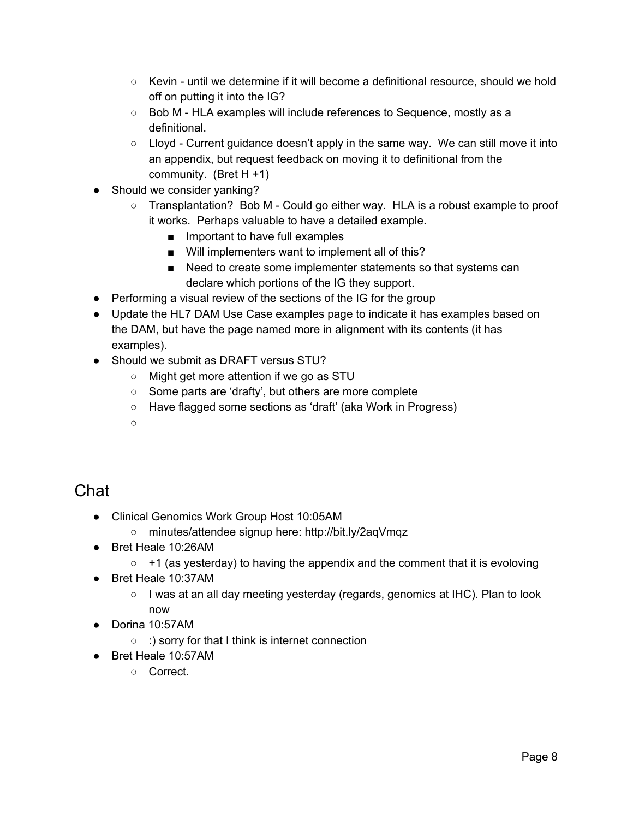- $\circ$  Kevin until we determine if it will become a definitional resource, should we hold off on putting it into the IG?
- Bob M HLA examples will include references to Sequence, mostly as a definitional.
- $\circ$  Lloyd Current guidance doesn't apply in the same way. We can still move it into an appendix, but request feedback on moving it to definitional from the community. (Bret H +1)
- Should we consider yanking?
	- $\circ$  Transplantation? Bob M Could go either way. HLA is a robust example to proof it works. Perhaps valuable to have a detailed example.
		- Important to have full examples
		- Will implementers want to implement all of this?
		- Need to create some implementer statements so that systems can declare which portions of the IG they support.
- Performing a visual review of the sections of the IG for the group
- Update the HL7 DAM Use Case examples page to indicate it has examples based on the DAM, but have the page named more in alignment with its contents (it has examples).
- Should we submit as DRAFT versus STU?
	- Might get more attention if we go as STU
	- Some parts are 'drafty', but others are more complete
	- Have flagged some sections as 'draft' (aka Work in Progress)
	- $\circ$

## <span id="page-7-0"></span>Chat

- Clinical Genomics Work Group Host 10:05AM
	- minutes/attendee signup here: http://bit.ly/2aqVmqz
- Bret Heale 10:26AM
	- $\circ$  +1 (as yesterday) to having the appendix and the comment that it is evoloving
- Bret Heale 10:37AM
	- $\circ$  I was at an all day meeting yesterday (regards, genomics at IHC). Plan to look now
- Dorina 10:57AM
	- :) sorry for that I think is internet connection
- Bret Heale 10:57AM
	- Correct.